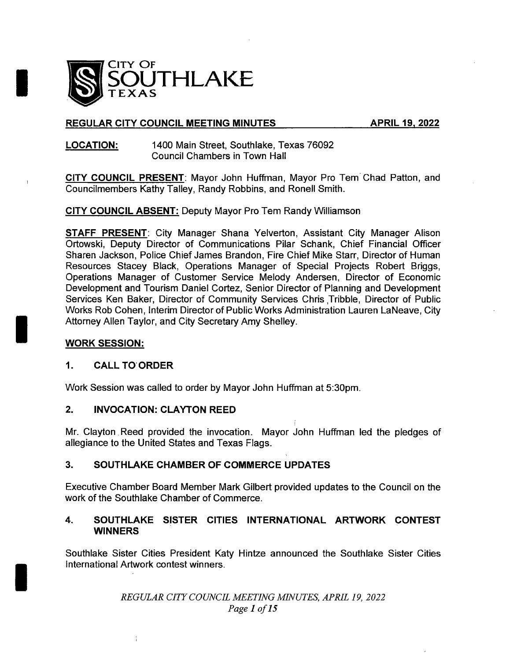

## REGULAR CITY COUNCIL MEETING MINUTES APRIL 19, 2022

### LOCATION: 1400 Main Street, Southlake, Texas 76092 Council Chambers in Town Hall

CITY COUNCIL PRESENT: Mayor John Huffman, Mayor Pro Tem Chad Patton, and Councilmembers Kathy Talley, Randy Robbins, and Ronell Smith.

CITY COUNCIL ABSENT: Deputy Mayor Pro Tern Randy Williamson

STAFF PRESENT: City Manager Shana Yelverton, Assistant City Manager Alison Ortowski, Deputy Director of Communications Pilar Schank, Chief Financial Officer Sharen Jackson, Police Chief James Brandon, Fire Chief Mike Starr, Director of Human Resources Stacey Black, Operations Manager of Special Projects Robert Briggs, Operations Manager of Customer Service Melody Andersen, Director of Economic Development and Tourism Daniel Cortez, Senior Director of Planning and Development Services Ken Baker, Director of Community Services Chris Tribble, Director of Public Works Rob Cohen, Interim Director of Public Works Administration Lauren LaNeave, City Attorney Allen Taylor, and City Secretary Amy Shelley.

## WORK SESSION:

### 1. CALL TO' ORDER

Work Session was called to order by Mayor John Huffman at 5: 30pm.

### 2. INVOCATION: CLAYTON REED

Mr. Clayton Reed provided the invocation. Mayor John Huffman led the pledges of allegiance to the United States and Texas Flags.

## 3. SOUTHLAKE CHAMBER OF COMMERCE UPDATES

Executive Chamber Board Member Mark Gilbert provided updates to the Council on the work of the Southlake Chamber of Commerce.

## 4. SOUTHLAKE SISTER CITIES INTERNATIONAL ARTWORK CONTEST **WINNERS**

Southlake Sister Cities President Katy Hintze announced the Southlake Sister Cities International Artwork contest winners.

> REGULAR CITY COUNCIL MEETING MINUTES, APRIL 19, 2022 Page 1 of 15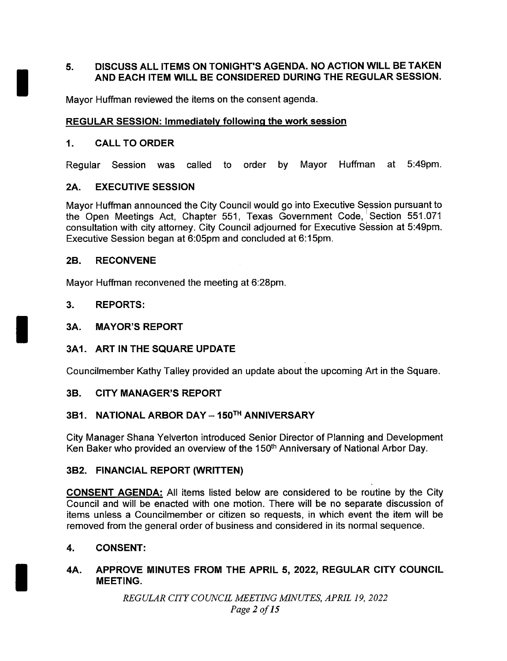## 5. DISCUSS ALL ITEMS ON TONIGHT' S AGENDA. NO ACTION WILL BE TAKEN AND EACH ITEM WILL BE CONSIDERED DURING THE REGULAR SESSION.

Mayor Huffman reviewed the items on the consent agenda.

## REGULAR SESSION: Immediately following the work session

## 1. CALL TO ORDER

Regular Session was called to order by Mayor Huffman at 5:49pm.

## 2A. EXECUTIVE SESSION

Mayor Huffman announced the City Council would go into Executive Session pursuant to the Open Meetings Act, Chapter 551, Texas Government Code, Section 551.071 consultation with city attorney. City Council adjourned for Executive Session at 5: 49pm. Executive Session began at 6:05pm and concluded at 6:15pm.

## 2B. RECONVENE

Mayor Huffman reconvened the meeting at 6:28pm.

## 3. REPORTS:

### 3A. MAYOR'S REPORT

## 3A1. ART IN THE SQUARE UPDATE

Councilmember Kathy Talley provided an update about the upcoming Art in the Square.

## 3B. CITY MANAGER'S REPORT

## 3B1. NATIONAL ARBOR DAY— 150T" ANNIVERSARY

City Manager Shana Yelverton introduced Senior Director of Planning and Development Ken Baker who provided an overview of the 150<sup>th</sup> Anniversary of National Arbor Day.

## 3B2. FINANCIAL REPORT (WRITTEN)

CONSENT AGENDA: All items listed below are considered to be routine by the City Council and will be enacted with one motion. There will be no separate discussion of items unless a Councilmember or citizen so requests, in which event the item will be removed from the general order of business and considered in its normal sequence.

## 4. CONSENT:

4A. APPROVE MINUTES FROM THE APRIL 5, 2022, REGULAR CITY COUNCIL MEETING.

> REGULAR CITY COUNCIL MEETING MINUTES, APRIL 19, 2022 Page <sup>2</sup> of 15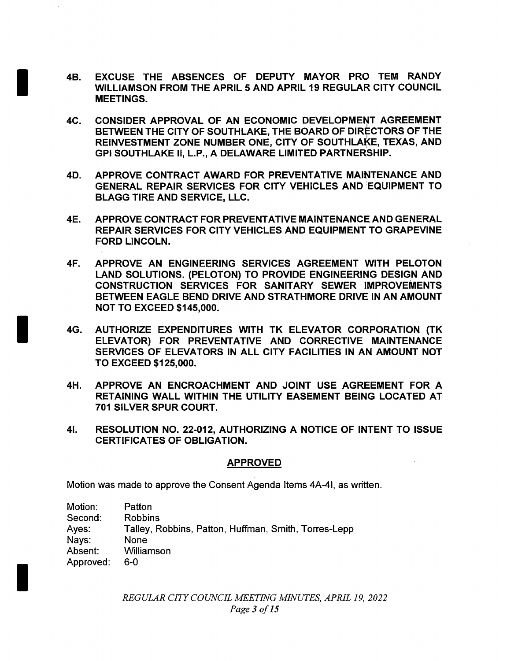- 4B. EXCUSE THE ABSENCES OF DEPUTY MAYOR PRO TEM RANDY WILLIAMSON FROM THE APRIL 5 AND APRIL 19 REGULAR CITY COUNCIL MEETINGS.
- 4C. CONSIDER APPROVAL OF AN ECONOMIC DEVELOPMENT AGREEMENT BETWEEN THE CITY OF SOUTHLAKE, THE BOARD OF DIRECTORS OF THE REINVESTMENT ZONE NUMBER ONE, CITY OF SOUTHLAKE, TEXAS, AND GPI SOUTHLAKE II, L.P., A DELAWARE LIMITED PARTNERSHIP.
- 4D. APPROVE CONTRACT AWARD FOR PREVENTATIVE MAINTENANCE AND GENERAL REPAIR SERVICES FOR CITY VEHICLES AND EQUIPMENT TO BLAGG TIRE AND SERVICE, LLC.
- 4E. APPROVE CONTRACT FOR PREVENTATIVE MAINTENANCE AND GENERAL REPAIR SERVICES FOR CITY VEHICLES AND EQUIPMENT TO GRAPEVINE FORD LINCOLN.
- 4F. APPROVE AN ENGINEERING SERVICES AGREEMENT WITH PELOTON LAND SOLUTIONS. ( PELOTON) TO PROVIDE ENGINEERING DESIGN AND CONSTRUCTION SERVICES FOR SANITARY SEWER IMPROVEMENTS BETWEEN EAGLE BEND DRIVE AND STRATHMORE DRIVE IN AN AMOUNT **NOT TO EXCEED \$145,000.**
- 4G. AUTHORIZE EXPENDITURES WITH TK ELEVATOR CORPORATION ( TK ELEVATOR) FOR PREVENTATIVE AND CORRECTIVE MAINTENANCE SERVICES OF ELEVATORS IN ALL CITY FACILITIES IN AN AMOUNT NOT TO EXCEED \$ 125, 000.
- 4H. APPROVE AN ENCROACHMENT AND JOINT USE AGREEMENT FOR A RETAINING WALL WITHIN THE UTILITY EASEMENT BEING LOCATED AT 701 SILVER SPUR COURT.
- 41. RESOLUTION NO. 22-012, AUTHORIZING A NOTICE OF INTENT TO ISSUE CERTIFICATES OF OBLIGATION.

## APPROVED

Motion was made to approve the Consent Agenda Items 4A-41, as written.

| Motion:   | Patton                                               |
|-----------|------------------------------------------------------|
| Second:   | <b>Robbins</b>                                       |
| Ayes:     | Talley, Robbins, Patton, Huffman, Smith, Torres-Lepp |
| Nays:     | None                                                 |
| Absent:   | Williamson                                           |
| Approved: | 6-0                                                  |

REGULAR CITY COUNCIL MEETING MINUTES, APRIL 19, 2022 Page 3 of 15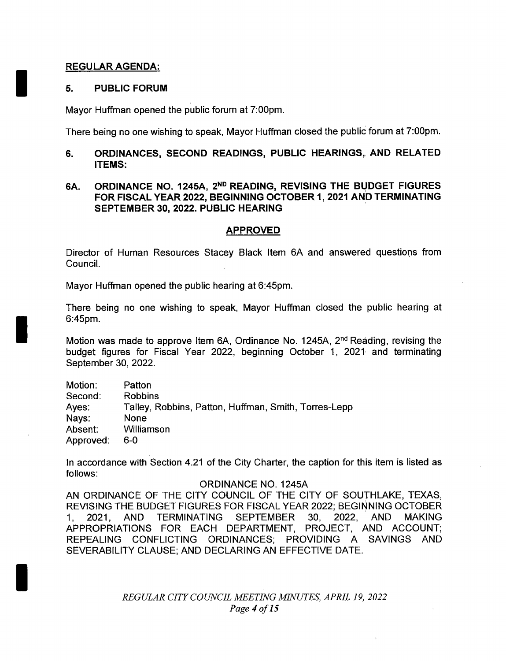### REGULAR AGENDA:

### 5. PUBLIC FORUM

Mayor Huffman opened the public forum at 7:00pm.

There being no one wishing to speak, Mayor Huffman closed the public forum at 7: 00pm.

## 6. ORDINANCES, SECOND READINGS, PUBLIC HEARINGS, AND RELATED ITEMS:

## 6A. ORDINANCE NO. 1245A, 2ND READING, REVISING THE BUDGET FIGURES FOR FISCAL YEAR 2022, BEGINNING OCTOBER 1, 2021 AND TERMINATING SEPTEMBER 30, 2022. PUBLIC HEARING

### APPROVED

Director of Human Resources Stacey Black Item 6A and answered questions from Council.

Mayor Huffman opened the public hearing at 6:45pm.

There being no one wishing to speak, Mayor Huffman closed the public hearing at 6:45pm.

Motion was made to approve Item 6A, Ordinance No. 1245A, 2<sup>nd</sup> Reading, revising the budget figures for Fiscal Year 2022, beginning October 1, 2021 and terminating September 30, 2022.

Motion: Patton Second: Robbins Ayes: Talley, Robbins, Patton, Huffman, Smith, Torres-Lepp<br>Navs: None Navs: Absent: Williamson Approved: 6-0

In accordance with Section 4.21 of the City Charter, the caption for this item is listed as follows:

### ORDINANCE NO. 1245A

AN ORDINANCE OF THE CITY COUNCIL OF THE CITY OF SOUTHLAKE, TEXAS, REVISING THE BUDGET FIGURES FOR FISCAL YEAR 2022; BEGINNING OCTOBER 1, 2021, AND TERMINATING SEPTEMBER 30, 2022, AND MAKING APPROPRIATIONS FOR EACH DEPARTMENT, PROJECT, AND ACCOUNT; REPEALING CONFLICTING ORDINANCES; PROVIDING A SAVINGS AND SEVERABILITY CLAUSE; AND DECLARING AN EFFECTIVE DATE.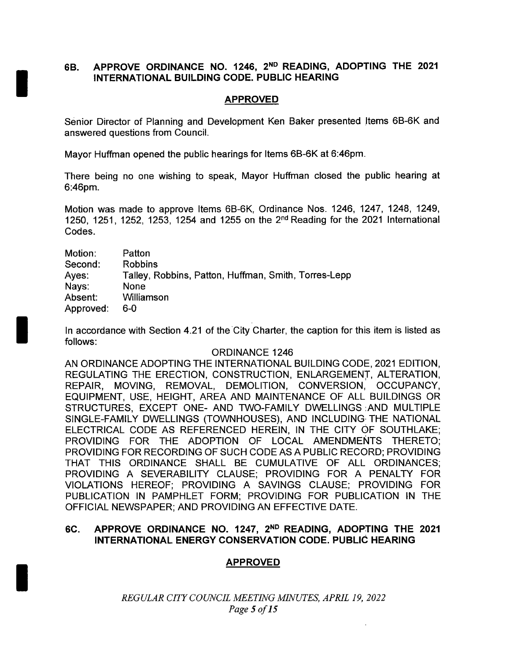## 6B. APPROVE ORDINANCE NO. 1246, 2ND READING, ADOPTING THE 2021 INTERNATIONAL BUILDING CODE. PUBLIC HEARING

## APPROVED

Senior Director of Planning and Development Ken Baker presented Items 6B-6K and answered questions from Council.

Mayor Huffman opened the public hearings for Items 6B-6K at 6:46pm.

There being no one wishing to speak, Mayor Huffman closed the public hearing at 6:46pm.

Motion was made to approve Items 6B-6K, Ordinance Nos. 1246, 1247, 1248, 1249, 1250, 1251, 1252, 1253, 1254 and 1255 on the 2nd Reading for the 2021 International Codes.

| Motion:   | Patton                                               |
|-----------|------------------------------------------------------|
| Second:   | <b>Robbins</b>                                       |
| Ayes:     | Talley, Robbins, Patton, Huffman, Smith, Torres-Lepp |
| Nays:     | None                                                 |
| Absent:   | Williamson                                           |
| Approved: | 6-0                                                  |

In accordance with Section 4.21 of the City Charter, the caption for this item is listed as follows:

### ORDINANCE 1246

AN ORDINANCE ADOPTING THE INTERNATIONAL BUILDING CODE, 2021 EDITION, REGULATING THE ERECTION, CONSTRUCTION, ENLARGEMENT, ALTERATION, REPAIR, MOVING, REMOVAL, DEMOLITION, CONVERSION, OCCUPANCY, EQUIPMENT, USE, HEIGHT, AREA AND MAINTENANCE OF ALL BUILDINGS OR STRUCTURES, EXCEPT ONE- AND TWO-FAMILY DWELLINGS AND MULTIPLE SINGLE-FAMILY DWELLINGS (TOWNHOUSES), AND INCLUDING THE NATIONAL ELECTRICAL CODE AS REFERENCED HEREIN, IN THE CITY OF SOUTHLAKE; PROVIDING FOR THE ADOPTION OF LOCAL AMENDMENTS THERETO; PROVIDING FOR RECORDING OF SUCH CODE AS A PUBLIC RECORD; PROVIDING THAT THIS ORDINANCE SHALL BE CUMULATIVE OF ALL ORDINANCES; PROVIDING A SEVERABILITY CLAUSE; PROVIDING FOR A PENALTY FOR VIOLATIONS HEREOF; PROVIDING A SAVINGS CLAUSE; PROVIDING FOR PUBLICATION IN PAMPHLET FORM; PROVIDING FOR PUBLICATION IN THE OFFICIAL NEWSPAPER; AND PROVIDING AN EFFECTIVE DATE.

## 6C. APPROVE ORDINANCE NO. 1247, 2ND READING, ADOPTING THE 2021 INTERNATIONAL ENERGY CONSERVATION CODE. PUBLIC HEARING

## APPROVED

REGULAR CITY COUNCIL MEETING MINUTES, APRIL 19, 2022 Page <sup>5</sup> of 15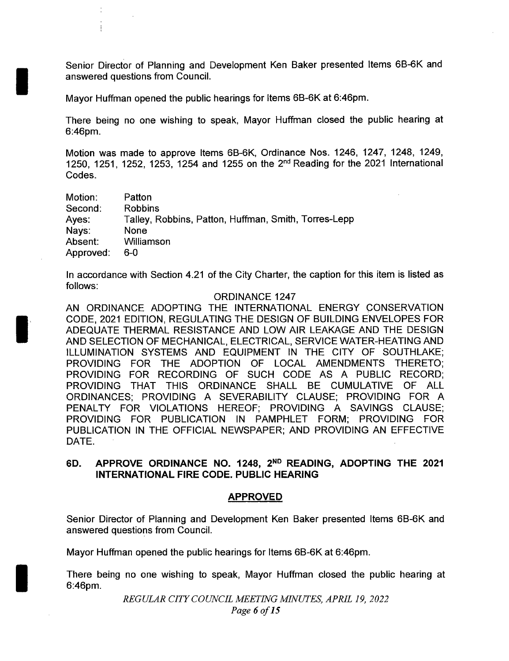Senior Director of Planning and Development Ken Baker presented Items 6B-6K and answered questions from Council.

Mayor Huffman opened the public hearings for Items 6B-6K at 6:46pm.

There being no one wishing to speak, Mayor Huffman closed the public hearing at 6:46pm.

Motion was made to approve Items 6B-6K, Ordinance Nos. 1246, 1247, 1248, 1249, 1250, 1251, 1252, 1253, 1254 and 1255 on the 2nd Reading for the 2021 International Codes.

| Motion:   | Patton                                               |
|-----------|------------------------------------------------------|
| Second:   | <b>Robbins</b>                                       |
| Ayes:     | Talley, Robbins, Patton, Huffman, Smith, Torres-Lepp |
| Nays:     | None                                                 |
| Absent:   | Williamson                                           |
| Approved: | 6-0                                                  |

In accordance with Section 4.21 of the City Charter, the caption for this item is listed as follows:

#### ORDINANCE 1247

AN ORDINANCE ADOPTING THE INTERNATIONAL ENERGY CONSERVATION CODE, 2021 EDITION, REGULATING THE DESIGN OF BUILDING ENVELOPES FOR ADEQUATE THERMAL RESISTANCE AND LOW AIR LEAKAGE AND THE DESIGN AND SELECTION OF MECHANICAL, ELECTRICAL, SERVICE WATER- HEATING AND ILLUMINATION SYSTEMS AND EQUIPMENT IN THE CITY OF SOUTHLAKE; PROVIDING FOR THE ADOPTION OF LOCAL AMENDMENTS THERETO; PROVIDING FOR RECORDING OF SUCH CODE AS A PUBLIC RECORD; PROVIDING THAT THIS ORDINANCE SHALL BE CUMULATIVE OF ALL ORDINANCES; PROVIDING A SEVERABILITY CLAUSE; PROVIDING FOR A PENALTY FOR VIOLATIONS HEREOF; PROVIDING A SAVINGS CLAUSE; PROVIDING FOR PUBLICATION IN PAMPHLET FORM; PROVIDING FOR PUBLICATION IN THE OFFICIAL NEWSPAPER; AND PROVIDING AN EFFECTIVE DATE.

## 6D. APPROVE ORDINANCE NO. 1248, 2ND READING, ADOPTING THE 2021 INTERNATIONAL FIRE CODE. PUBLIC HEARING

#### APPROVED

Senior Director of Planning and Development Ken Baker presented Items 6B-6K and answered questions from Council.

Mayor Huffman opened the public hearings for Items 6B-6K at 6:46pm.

There being no one wishing to speak, Mayor Huffman closed the public hearing at 6:46pm.

REGULAR CITY COUNCIL MEETING MINUTES, APRIL 19, 2022

Page 6 of 15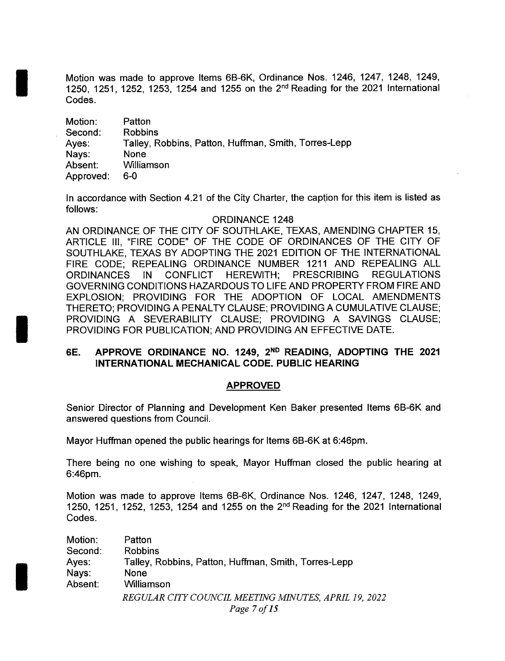Motion was made to approve Items 6B-6K, Ordinance Nos. 1246, 1247, 1248, 1249, 1250, 1251, 1252, 1253, 1254 and 1255 on the  $2^{nd}$  Reading for the 2021 International Codes.

| Motion:   | Patton                                               |
|-----------|------------------------------------------------------|
| Second:   | <b>Robbins</b>                                       |
| Ayes:     | Talley, Robbins, Patton, Huffman, Smith, Torres-Lepp |
| Nays:     | None                                                 |
| Absent:   | Williamson                                           |
| Approved: | 6-0                                                  |

In accordance with Section 4.21 of the City Charter, the caption for this item is listed as follows:

#### ORDINANCE 1248

AN ORDINANCE OF THE CITY OF SOUTHLAKE, TEXAS, AMENDING CHAPTER 15, ARTICLE III, "FIRE CODE" OF THE CODE OF ORDINANCES OF THE CITY OF SOUTHLAKE, TEXAS BY ADOPTING THE 2021 EDITION OF THE INTERNATIONAL FIRE CODE; REPEALING ORDINANCE NUMBER 1211 AND REPEALING ALL ORDINANCES IN CONFLICT HEREWITH; PRESCRIBING REGULATIONS GOVERNING CONDITIONS HAZARDOUS TO LIFE AND PROPERTY FROM FIRE AND EXPLOSION; PROVIDING FOR THE ADOPTION OF LOCAL AMENDMENTS THERETO; PROVIDING A PENALTY CLAUSE; PROVIDING A CUMULATIVE CLAUSE; PROVIDING A SEVERABILITY CLAUSE; PROVIDING A SAVINGS CLAUSE; PROVIDING FOR PUBLICATION; AND PROVIDING AN EFFECTIVE DATE.

## 6E. APPROVE ORDINANCE NO. 1249, 2ND READING, ADOPTING THE 2021 INTERNATIONAL MECHANICAL CODE. PUBLIC HEARING

#### APPROVED

Senior Director of Planning and Development Ken Baker presented Items 6B-6K and answered questions from Council.

Mayor Huffman opened the public hearings for Items 6B-6K at 6:46pm.

There being no one wishing to speak, Mayor Huffman closed the public hearing at 6:46pm.

Motion was made to approve Items 6B-6K, Ordinance Nos. 1246, 1247, 1248, 1249, 1250, 1251, 1252, 1253, 1254 and 1255 on the  $2^{nd}$  Reading for the 2021 International Codes.

| Motion: | Patton                                               |
|---------|------------------------------------------------------|
| Second: | <b>Robbins</b>                                       |
| Ayes:   | Talley, Robbins, Patton, Huffman, Smith, Torres-Lepp |
| Nays:   | <b>None</b>                                          |
| Absent: | Williamson                                           |
|         | REGULAR CITY COUNCIL MEETING MINUTES, APRIL 19, 2022 |
|         | Page 7 of 15                                         |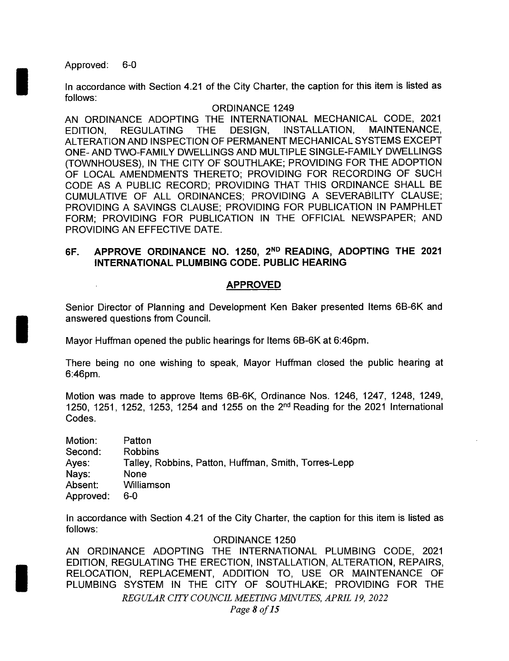Approved: 6-0

In accordance with Section 4.21 of the City Charter, the caption for this item is listed as follows:

### ORDINANCE 1249

AN ORDINANCE ADOPTING THE INTERNATIONAL MECHANICAL CODE, 2021 EDITION, REGULATING THE DESIGN, INSTALLATION, MAINTENANCE, ALTERATION AND INSPECTION OF PERMANENT MECHANICAL SYSTEMS EXCEPT ONE- AND TWO-FAMILY DWELLINGS AND MULTIPLE SINGLE-FAMILY DWELLINGS TOWNHOUSES), IN THE CITY OF SOUTHLAKE; PROVIDING FOR THE ADOPTION OF LOCAL AMENDMENTS THERETO; PROVIDING FOR RECORDING OF SUCH CODE AS A PUBLIC RECORD; PROVIDING THAT THIS ORDINANCE SHALL BE CUMULATIVE OF ALL ORDINANCES; PROVIDING A SEVERABILITY CLAUSE; PROVIDING A SAVINGS CLAUSE; PROVIDING FOR PUBLICATION IN PAMPHLET FORM; PROVIDING FOR PUBLICATION IN THE OFFICIAL NEWSPAPER; AND PROVIDING AN EFFECTIVE DATE.

## 6F. APPROVE ORDINANCE NO. 1250, 2<sup>ND</sup> READING, ADOPTING THE 2021 INTERNATIONAL PLUMBING CODE. PUBLIC HEARING

### APPROVED

Senior Director of Planning and Development Ken Baker presented Items 6B-6K and answered questions from Council.

Mayor Huffman opened the public hearings for Items 6B-6K at 6:46pm.

There being no one wishing to speak, Mayor Huffman closed the public hearing at 6:46pm.

Motion was made to approve Items 6B-6K, Ordinance Nos. 1246, 1247, 1248, 1249, 1250, 1251, 1252, 1253, 1254 and 1255 on the  $2<sup>nd</sup>$  Reading for the 2021 International Codes.

| Motion:   | Patton                                               |
|-----------|------------------------------------------------------|
| Second:   | <b>Robbins</b>                                       |
| Ayes:     | Talley, Robbins, Patton, Huffman, Smith, Torres-Lepp |
| Nays:     | <b>None</b>                                          |
| Absent:   | Williamson                                           |
| Approved: | 6-0                                                  |

In accordance with Section 4.21 of the City Charter, the caption for this item is listed as follows:

### ORDINANCE 1250

AN ORDINANCE ADOPTING THE INTERNATIONAL PLUMBING CODE, 2021 EDITION, REGULATING THE ERECTION, INSTALLATION, ALTERATION, REPAIRS, RELOCATION, REPLACEMENT, ADDITION TO, USE OR MAINTENANCE OF PLUMBING SYSTEM IN THE CITY OF SOUTHLAKE; PROVIDING FOR THE REGULAR CITY COUNCIL MEETING MINUTES, APRIL 19, 2022 Page 8 of 15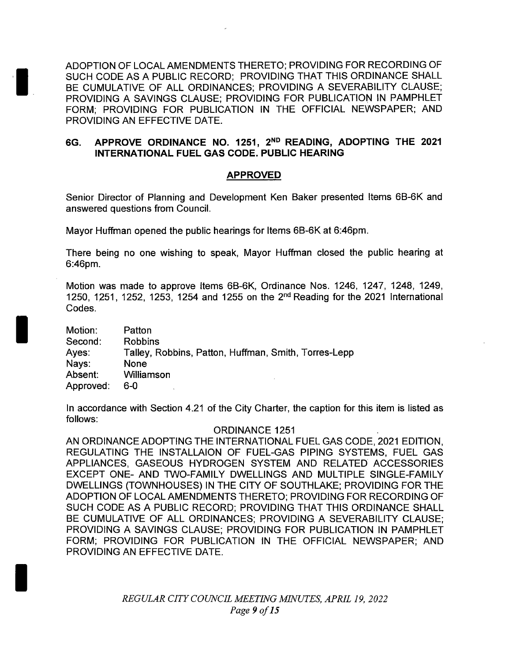ADOPTION OF LOCAL AMENDMENTS THERETO; PROVIDING FOR RECORDING OF SUCH CODE AS A PUBLIC RECORD; PROVIDING THAT THIS ORDINANCE SHALL BE CUMULATIVE OF ALL ORDINANCES; PROVIDING A SEVERABILITY CLAUSE; PROVIDING A SAVINGS CLAUSE; PROVIDING FOR PUBLICATION IN PAMPHLET FORM; PROVIDING FOR PUBLICATION IN THE OFFICIAL NEWSPAPER; AND PROVIDING AN EFFECTIVE DATE.

## 6G. APPROVE ORDINANCE NO. 1251, 2ND READING, ADOPTING THE 2021 INTERNATIONAL FUEL GAS CODE. PUBLIC HEARING

## APPROVED

Senior Director of Planning and Development Ken Baker presented Items 6B-6K and answered questions from Council.

Mayor Huffman opened the public hearings for Items 6B-6K at 6:46pm.

There being no one wishing to speak, Mayor Huffman closed the public hearing at 6:46pm.

Motion was made to approve Items 6B-6K, Ordinance Nos. 1246, 1247, 1248, 1249, 1250, 1251, 1252, 1253, 1254 and 1255 on the  $2<sup>nd</sup>$  Reading for the 2021 International Codes.

| Motion:   | Patton                                               |
|-----------|------------------------------------------------------|
| Second:   | <b>Robbins</b>                                       |
| Ayes:     | Talley, Robbins, Patton, Huffman, Smith, Torres-Lepp |
| Nays:     | None                                                 |
| Absent:   | Williamson                                           |
| Approved: | 6-0                                                  |

In accordance with Section 4.21 of the City Charter, the caption for this item is listed as follows:

#### ORDINANCE 1251

AN ORDINANCE ADOPTING THE INTERNATIONAL FUEL GAS CODE, 2021 EDITION, REGULATING THE INSTALLAION OF FUEL-GAS PIPING SYSTEMS, FUEL GAS APPLIANCES, GASEOUS HYDROGEN SYSTEM AND RELATED ACCESSORIES EXCEPT ONE- AND TWO-FAMILY DWELLINGS AND MULTIPLE SINGLE-FAMILY DWELLINGS ( TOWNHOUSES) IN THE CITY OF SOUTHLAKE; PROVIDING FOR THE ADOPTION OF LOCAL AMENDMENTS THERETO; PROVIDING FOR RECORDING OF SUCH CODE AS A PUBLIC RECORD; PROVIDING THAT THIS ORDINANCE SHALL BE CUMULATIVE OF ALL ORDINANCES; PROVIDING A SEVERABILITY CLAUSE; PROVIDING A SAVINGS CLAUSE; PROVIDING FOR PUBLICATION IN PAMPHLET FORM; PROVIDING FOR PUBLICATION IN THE OFFICIAL NEWSPAPER; AND PROVIDING AN EFFECTIVE DATE.

> REGULAR CITY COUNCIL MEETING MINUTES, APRIL 19, 2022 Page 9 of 15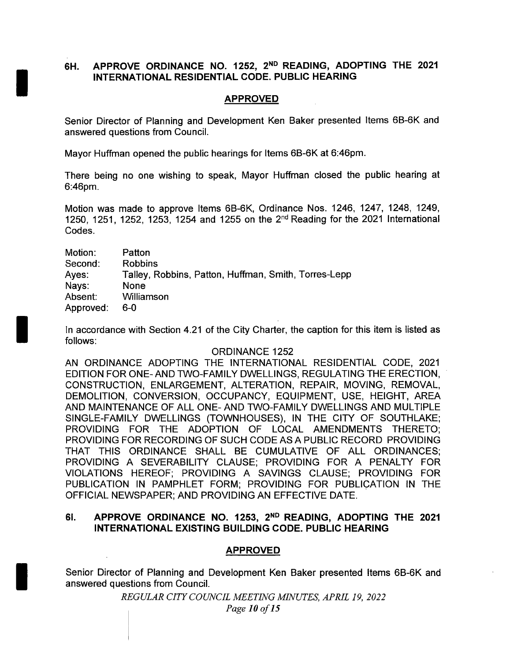## 6H. APPROVE ORDINANCE NO. 1252, 2<sup>ND</sup> READING, ADOPTING THE 2021 INTERNATIONAL RESIDENTIAL CODE. PUBLIC HEARING

## APPROVED

Senior Director of Planning and Development Ken Baker presented Items 6B-6K and answered questions from Council.

Mayor Huffman opened the public hearings for Items 6B-6K at 6:46pm.

There being no one wishing to speak, Mayor Huffman closed the public hearing at 6:46pm.

Motion was made to approve Items 6B-6K, Ordinance Nos. 1246, 1247, 1248, 1249, 1250, 1251, 1252, 1253, 1254 and 1255 on the 2nd Reading for the 2021 International Codes.

| Motion:   | Patton                                               |
|-----------|------------------------------------------------------|
| Second:   | <b>Robbins</b>                                       |
| Ayes:     | Talley, Robbins, Patton, Huffman, Smith, Torres-Lepp |
| Nays:     | None                                                 |
| Absent:   | Williamson                                           |
| Approved: | 6-0                                                  |

In accordance with Section 4.21 of the City Charter, the caption for this item is listed as follows:

### ORDINANCE 1252

AN ORDINANCE ADOPTING THE INTERNATIONAL RESIDENTIAL CODE, 2021 EDITION FOR ONE- AND TWO-FAMILY DWELLINGS, REGULATING THE ERECTION, CONSTRUCTION, ENLARGEMENT, ALTERATION, REPAIR, MOVING, REMOVAL, DEMOLITION, CONVERSION, OCCUPANCY, EQUIPMENT, USE, HEIGHT, AREA AND MAINTENANCE OF ALL ONE- AND TWO-FAMILY DWELLINGS AND MULTIPLE SINGLE-FAMILY DWELLINGS (TOWNHOUSES), IN THE CITY OF SOUTHLAKE; PROVIDING FOR THE ADOPTION OF LOCAL AMENDMENTS THERETO; PROVIDING FOR RECORDING OF SUCH CODE AS A PUBLIC RECORD PROVIDING THAT THIS ORDINANCE SHALL BE CUMULATIVE OF ALL ORDINANCES; PROVIDING A SEVERABILITY CLAUSE; PROVIDING FOR A PENALTY FOR VIOLATIONS HEREOF; PROVIDING A SAVINGS CLAUSE; PROVIDING FOR PUBLICATION IN PAMPHLET FORM; PROVIDING FOR PUBLICATION IN THE OFFICIAL NEWSPAPER; AND PROVIDING AN EFFECTIVE DATE.

### 61. APPROVE ORDINANCE NO. 1253, 2ND READING, ADOPTING THE 2021 INTERNATIONAL EXISTING BUILDING CODE. PUBLIC HEARING

## APPROVED

Senior Director of Planning and Development Ken Baker presented Items 6B-6K and answered questions from Council.

> REGULAR CITY COUNCIL MEETING MINUTES, APRIL 19, 2022 Page 10 of 15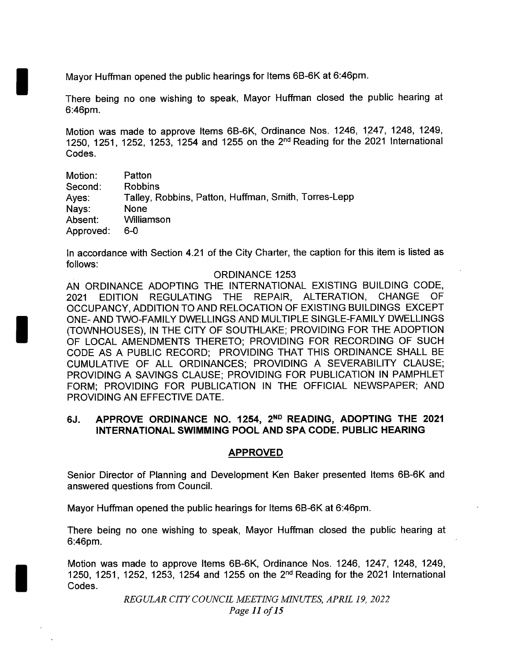Mayor Huffman opened the public hearings for Items 6B-6K at 6:46pm.

There being no one wishing to speak, Mayor Huffman closed the public hearing at 6:46pm.

Motion was made to approve Items 6B-6K, Ordinance Nos. 1246, 1247, 1248, 1249, 1250, 1251, 1252, 1253, 1254 and 1255 on the  $2<sup>nd</sup>$  Reading for the 2021 International Codes.

| Motion:   | Patton                                               |
|-----------|------------------------------------------------------|
| Second:   | <b>Robbins</b>                                       |
| Ayes:     | Talley, Robbins, Patton, Huffman, Smith, Torres-Lepp |
| Nays:     | None                                                 |
| Absent:   | Williamson                                           |
| Approved: | 6-0                                                  |

In accordance with Section 4.21 of the City Charter, the caption for this item is listed as follows:

### ORDINANCE 1253

AN ORDINANCE ADOPTING THE INTERNATIONAL EXISTING BUILDING CODE, 2021 EDITION REGULATING THE REPAIR, ALTERATION, CHANGE OF OCCUPANCY, ADDITION TO AND RELOCATION OF EXISTING BUILDINGS EXCEPT ONE- AND TWO-FAMILY DWELLINGS AND MULTIPLE SINGLE-FAMILY DWELLINGS TOWNHOUSES), IN THE CITY OF SOUTHLAKE; PROVIDING FOR THE ADOPTION OF LOCAL AMENDMENTS THERETO; PROVIDING FOR RECORDING OF SUCH CODE AS A PUBLIC RECORD; PROVIDING THAT THIS ORDINANCE SHALL BE CUMULATIVE OF ALL ORDINANCES; PROVIDING A SEVERABILITY CLAUSE; PROVIDING A SAVINGS CLAUSE; PROVIDING FOR PUBLICATION IN PAMPHLET FORM; PROVIDING FOR PUBLICATION IN THE OFFICIAL NEWSPAPER; AND PROVIDING AN EFFECTIVE DATE.

## 6J. APPROVE ORDINANCE NO. 1254, 2<sup>ND</sup> READING, ADOPTING THE 2021 INTERNATIONAL SWIMMING POOL AND SPA CODE. PUBLIC HEARING

## APPROVED

Senior Director of Planning and Development Ken Baker presented Items 6B-6K and answered questions from Council.

Mayor Huffman opened the public hearings for Items 6B-6K at 6:46pm.

There being no one wishing to speak, Mayor Huffman closed the public hearing at 6:46pm.

Motion was made to approve Items 6B-6K, Ordinance Nos. 1246, 1247, 1248, 1249, 1250, 1251, 1252, 1253, 1254 and 1255 on the  $2<sup>nd</sup>$  Reading for the 2021 International Codes.

> REGULAR CITY COUNCIL MEETING MINUTES, APRIL 19, 2022 Page <sup>11</sup> of 15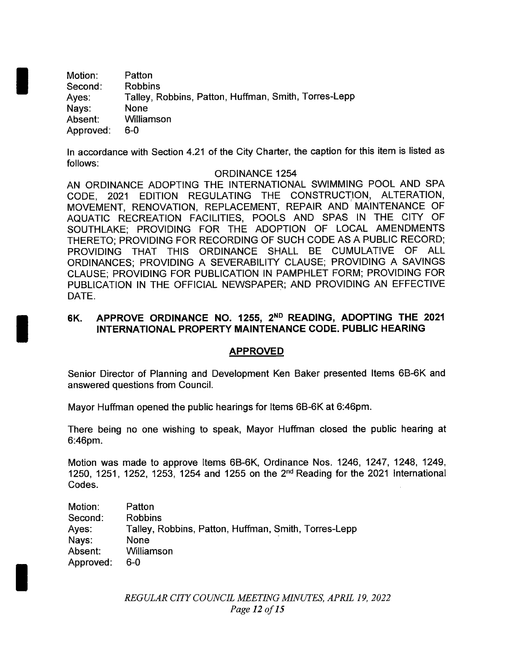Motion: Patton Second: Robbins Ayes: Talley, Robbins, Patton, Huffman, Smith, Torres-Lepp<br>Nays: None Nays: Absent: Williamson Approved: 6-0

In accordance with Section 4.21 of the City Charter, the caption for this item is listed as follows:

### ORDINANCE 1254

AN ORDINANCE ADOPTING THE INTERNATIONAL SWIMMING POOL AND SPA CODE, 2021 EDITION REGULATING THE CONSTRUCTION, ALTERATION, MOVEMENT, RENOVATION, REPLACEMENT, REPAIR AND MAINTENANCE OF AQUATIC RECREATION FACILITIES, POOLS AND SPAS IN THE CITY OF SOUTHLAKE; PROVIDING FOR THE ADOPTION OF LOCAL AMENDMENTS THERETO; PROVIDING FOR RECORDING OF SUCH CODE AS A PUBLIC RECORD; PROVIDING THAT THIS ORDINANCE SHALL BE CUMULATIVE OF ALL ORDINANCES; PROVIDING A SEVERABILITY CLAUSE; PROVIDING A SAVINGS CLAUSE; PROVIDING FOR PUBLICATION IN PAMPHLET FORM; PROVIDING FOR PUBLICATION IN THE OFFICIAL NEWSPAPER; AND PROVIDING AN EFFECTIVE DATE.

## 6K. APPROVE ORDINANCE NO. 1255, 2ND READING, ADOPTING THE 2021 INTERNATIONAL PROPERTY MAINTENANCE CODE. PUBLIC HEARING

### APPROVED

Senior Director of Planning and Development Ken Baker presented Items 6B-6K and answered questions from Council.

Mayor Huffman opened the public hearings for Items 6B-6K at 6:46pm.

There being no one wishing to speak, Mayor Huffman closed the public hearing at 6: 46pm.

Motion was made to approve Items 6B-6K, Ordinance Nos. 1246, 1247, 1248, 1249, 1250, 1251, 1252, 1253, 1254 and 1255 on the  $2^{nd}$  Reading for the 2021 International Codes.

| Motion:   | Patton                                               |
|-----------|------------------------------------------------------|
| Second:   | Robbins                                              |
| Ayes:     | Talley, Robbins, Patton, Huffman, Smith, Torres-Lepp |
| Nays:     | None                                                 |
| Absent:   | Williamson                                           |
| Approved: | 6-0                                                  |

REGULAR CITY COUNCIL MEETING MINUTES, APRIL 19, 2022 Page 12 of 15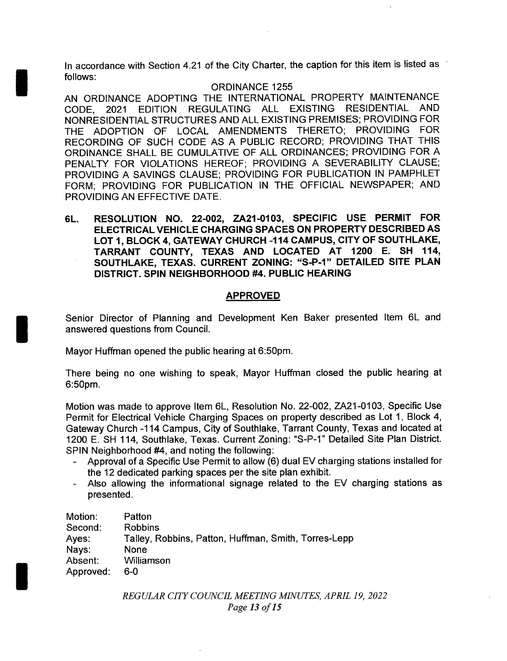In accordance with Section 4.21 of the City Charter, the caption for this item is listed as follows:

### ORDINANCE 1255

AN ORDINANCE ADOPTING THE INTERNATIONAL PROPERTY MAINTENANCE CODE, 2021 EDITION REGULATING ALL EXISTING RESIDENTIAL AND NONRESIDENTIAL STRUCTURES AND ALL EXISTING PREMISES; PROVIDING FOR THE ADOPTION OF LOCAL AMENDMENTS THERETO; PROVIDING FOR RECORDING OF SUCH CODE AS A PUBLIC RECORD; PROVIDING THAT THIS ORDINANCE SHALL BE CUMULATIVE OF ALL ORDINANCES; PROVIDING FOR A PENALTY FOR VIOLATIONS HEREOF; PROVIDING A SEVERABILITY CLAUSE; PROVIDING A SAVINGS CLAUSE; PROVIDING FOR PUBLICATION IN PAMPHLET FORM; PROVIDING FOR PUBLICATION IN THE OFFICIAL NEWSPAPER; AND PROVIDING AN EFFECTIVE DATE.

6L. RESOLUTION NO. 22-002, ZA21-0103, SPECIFIC USE PERMIT FOR ELECTRICAL VEHICLE CHARGING SPACES ON PROPERTY DESCRIBED AS LOT 1, BLOCK 4, GATEWAY CHURCH - 114 CAMPUS, CITY OF SOUTHLAKE, TARRANT COUNTY, TEXAS AND LOCATED AT 1200 E. SH 114, SOUTHLAKE, TEXAS. CURRENT ZONING: "S-P-1" DETAILED SITE PLAN DISTRICT. SPIN NEIGHBORHOOD #4. PUBLIC HEARING

## APPROVED

Senior Director of Planning and Development Ken Baker presented Item 6L and answered questions from Council.

Mayor Huffman opened the public hearing at 6:50pm.

There being no one wishing to speak, Mayor Huffman closed the public hearing at 6: 50pm.

Motion was made to approve Item 6L, Resolution No. 22-002, ZA21-0103, Specific Use Permit for Electrical Vehicle Charging Spaces on property described as Lot 1, Block 4, Gateway Church - 114 Campus, City of Southlake, Tarrant County, Texas and located at 1200 E. SH 114, Southlake, Texas. Current Zoning: "S-P-1" Detailed Site Plan District. SPIN Neighborhood #4, and noting the following:

- Approval of a Specific Use Permit to allow (6) dual EV charging stations installed for the 12 dedicated parking spaces per the site plan exhibit.
- Also allowing the informational signage related to the EV charging stations as presented.

| Motion:   | Patton                                               |
|-----------|------------------------------------------------------|
| Second:   | <b>Robbins</b>                                       |
| Ayes:     | Talley, Robbins, Patton, Huffman, Smith, Torres-Lepp |
| Nays:     | None                                                 |
| Absent:   | Williamson                                           |
| Approved: | 6-0                                                  |

REGULAR CITY COUNCIL MEETING MINUTES, APRIL 19, 2022 Page 13 of 15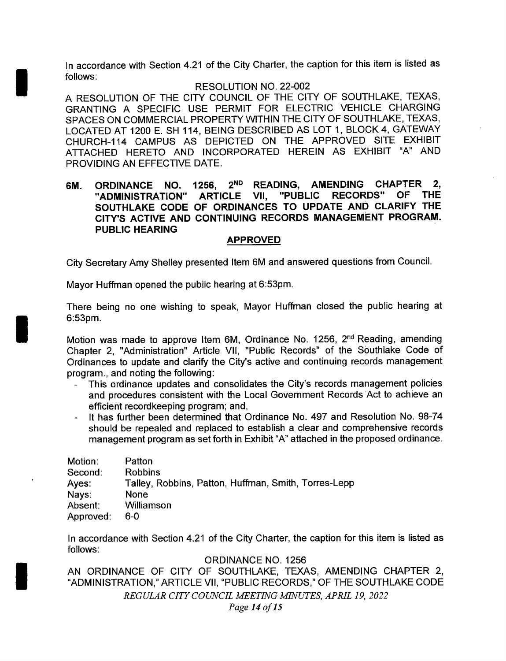In accordance with Section 4.21 of the City Charter, the caption for this item is listed as follows:

### RESOLUTION NO. 22-002

A RESOLUTION OF THE CITY COUNCIL OF THE CITY OF SOUTHLAKE, TEXAS, GRANTING A SPECIFIC USE PERMIT FOR ELECTRIC VEHICLE CHARGING SPACES ON COMMERCIAL PROPERTY WITHIN THE CITY OF SOUTHLAKE, TEXAS, LOCATED AT 1200 E. SH 114, BEING DESCRIBED AS LOT 1, BLOCK 4, GATEWAY CHURCH- 114 CAMPUS AS DEPICTED ON THE APPROVED SITE EXHIBIT ATTACHED HERETO AND INCORPORATED HEREIN AS EXHIBIT "A" AND PROVIDING AN EFFECTIVE DATE.

## 6M. ORDINANCE NO. 1256, 2<sup>ND</sup> READING, AMENDING CHAPTER 2,<br>"ADMINISTRATION" ARTICLE VII. "PUBLIC RECORDS" OF THE "ADMINISTRATION" ARTICLE VII, SOUTHLAKE CODE OF ORDINANCES TO UPDATE AND CLARIFY THE CITY'S ACTIVE AND CONTINUING RECORDS MANAGEMENT PROGRAM. PUBLIC HEARING

### APPROVED

City Secretary Amy Shelley presented Item 6M and answered questions from Council.

Mayor Huffman opened the public hearing at 6:53pm.

There being no one wishing to speak, Mayor Huffman closed the public hearing at 6:53pm.

Motion was made to approve Item 6M, Ordinance No. 1256, 2<sup>nd</sup> Reading, amending Chapter 2, " Administration" Article VII, " Public Records" of the Southlake Code of Ordinances to update and clarify the City's active and continuing records management program., and noting the following:

- This ordinance updates and consolidates the City's records management policies and procedures consistent with the Local Government Records Act to achieve an efficient recordkeeping program; and,
- It has further been determined that Ordinance No. 497 and Resolution No. 98-74 should be repealed and replaced to establish a clear and comprehensive records management program as set forth in Exhibit" A" attached in the proposed ordinance.

| Motion:   | Patton                                               |
|-----------|------------------------------------------------------|
| Second:   | <b>Robbins</b>                                       |
| Ayes:     | Talley, Robbins, Patton, Huffman, Smith, Torres-Lepp |
| Nays:     | None                                                 |
| Absent:   | Williamson                                           |
| Approved: | 6-0                                                  |

In accordance with Section 4.21 of the City Charter, the caption for this item is listed as follows:

ORDINANCE NO. 1256

AN ORDINANCE OF CITY OF SOUTHLAKE, TEXAS, AMENDING CHAPTER 2, ADMINISTRATION," ARTICLE VII, " PUBLIC RECORDS," OF THE SOUTHLAKE CODE REGULAR CITY COUNCIL MEETING MINUTES, APRIL 19, 2022 Page 14 of 15